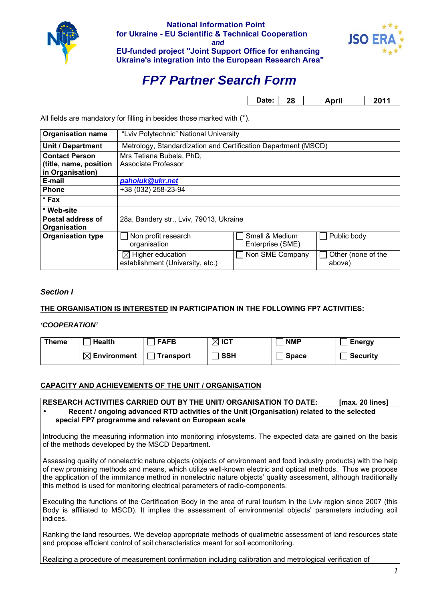

**National Information Point for Ukraine - EU Sсientific & Technical Cooperation** *and*  **EU-funded project "Joint Support Office for enhancing Ukraine's integration into the European Research Area"**



# *FP7 Partner Search Form*

**Date: 28 April 2011** 

All fields are mandatory for filling in besides those marked with (\*).

| <b>Organisation name</b> | "Lviv Polytechnic" National University                         |                  |                    |  |
|--------------------------|----------------------------------------------------------------|------------------|--------------------|--|
| Unit / Department        | Metrology, Standardization and Certification Department (MSCD) |                  |                    |  |
| <b>Contact Person</b>    | Mrs Tetiana Bubela, PhD,                                       |                  |                    |  |
| (title, name, position   | Associate Professor                                            |                  |                    |  |
| in Organisation)         |                                                                |                  |                    |  |
| E-mail                   | paholuk@ukr.net                                                |                  |                    |  |
| <b>Phone</b>             | +38 (032) 258-23-94                                            |                  |                    |  |
| * Fax                    |                                                                |                  |                    |  |
| * Web-site               |                                                                |                  |                    |  |
| Postal address of        | 28a, Bandery str., Lviv, 79013, Ukraine                        |                  |                    |  |
| Organisation             |                                                                |                  |                    |  |
| <b>Organisation type</b> | Non profit research                                            | Small & Medium   | Public body        |  |
|                          | organisation                                                   | Enterprise (SME) |                    |  |
|                          | $\boxtimes$ Higher education                                   | Non SME Company  | Other (none of the |  |
|                          | establishment (University, etc.)                               |                  | above)             |  |

# *Section I*

# **THE ORGANISATION IS INTERESTED IN PARTICIPATION IN THE FOLLOWING FP7 ACTIVITIES:**

*'COOPERATION'*

| Theme | <b>Health</b>           | <b>FAFB</b>      | $\boxtimes$ ICT | <b>NMP</b>   | <b>Energy</b>   |
|-------|-------------------------|------------------|-----------------|--------------|-----------------|
|       | $\boxtimes$ Environment | <b>Fransport</b> | <b>SSH</b>      | <b>Space</b> | <b>Security</b> |

# **CAPACITY AND ACHIEVEMENTS OF THE UNIT / ORGANISATION**

| <b>RESEARCH ACTIVITIES CARRIED OUT BY THE UNIT/ ORGANISATION TO DATE:</b><br>[max. 20 lines]                                                                                                                                                                                                                                                                                                                                          |
|---------------------------------------------------------------------------------------------------------------------------------------------------------------------------------------------------------------------------------------------------------------------------------------------------------------------------------------------------------------------------------------------------------------------------------------|
| Recent / ongoing advanced RTD activities of the Unit (Organisation) related to the selected<br>special FP7 programme and relevant on European scale                                                                                                                                                                                                                                                                                   |
| Introducing the measuring information into monitoring infosystems. The expected data are gained on the basis<br>of the methods developed by the MSCD Department.                                                                                                                                                                                                                                                                      |
| Assessing quality of nonelectric nature objects (objects of environment and food industry products) with the help<br>of new promising methods and means, which utilize well-known electric and optical methods. Thus we propose<br>the application of the immitance method in nonelectric nature objects' quality assessment, although traditionally<br>this method is used for monitoring electrical parameters of radio-components. |
| Executing the functions of the Certification Body in the area of rural tourism in the Lviv region since 2007 (this                                                                                                                                                                                                                                                                                                                    |

Body is affiliated to MSCD). It implies the assessment of environmental objects' parameters including soil indices.

Ranking the land resources. We develop appropriate methods of qualimetric assessment of land resources state and propose efficient control of soil characteristics meant for soil ecomonitoring.

Realizing a procedure of measurement confirmation including calibration and metrological verification of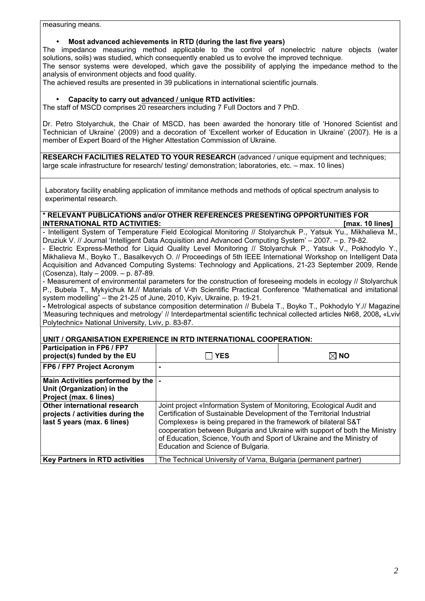measuring means.

## • **Most advanced achievements in RTD (during the last five years)**

The impedance measuring method applicable to the control of nonelectric nature objects (water solutions, soils) was studied, which consequently enabled us to evolve the improved technique.

The sensor systems were developed, which gave the possibility of applying the impedance method to the analysis of environment objects and food quality.

The achieved results are presented in 39 publications in international scientific journals.

#### • **Capacity to carry out advanced / unique RTD activities:**

The staff of MSCD comprises 20 researchers including 7 Full Doctors and 7 PhD.

Dr. Petro Stolyarchuk, the Chair of MSCD, has been awarded the honorary title of 'Honored Scientist and Technician of Ukraine' (2009) and a decoration of 'Excellent worker of Education in Ukraine' (2007). He is a member of Expert Board of the Higher Attestation Commission of Ukraine.

**RESEARCH FACILITIES RELATED TO YOUR RESEARCH** (advanced / unique equipment and techniques; large scale infrastructure for research/ testing/ demonstration; laboratories, etc. – max. 10 lines)

Laboratory facility enabling application of immitance methods and methods of optical spectrum analysis to experimental research.

## **\* RELEVANT PUBLICATIONS and/or OTHER REFERENCES PRESENTING OPPORTUNITIES FOR INTERNATIONAL RTD ACTIVITIES:** *IMTERNATIONAL RTD ACTIVITIES:*

- Intelligent System of Temperature Field Ecological Monitoring // Stolyarchuk P., Yatsuk Yu., Mikhalieva M., Druziuk V. // Journal 'Intelligent Data Acquisition and Advanced Computing System' – 2007. – p. 79-82. - Electric Express-Method for Liquid Quality Level Monitoring // Stolyarchuk P., Yatsuk V., Pokhodylo Y., Mikhalieva M., Boyko T., Basalkevych O. // Proceedings of 5th IEEE International Workshop on Intelligent Data Acquisition and Advanced Computing Systems: Technology and Applications, 21-23 September 2009, Rende (Cosenza), Italy – 2009. – p. 87-89.

- Measurement of environmental parameters for the construction of foreseeing models in ecology // Stolyarchuk P., Bubela T., Mykyichuk M.// Materials of V-th Scientific Practical Conference "Mathematical and imitational system modelling" – the 21-25 of June, 2010, Kyiv, Ukraine, p. 19-21.

**-** Metrological aspects of substance composition determination // Bubela T., Boyko T., Pokhodylo Y.// Magazine 'Measuring techniques and metrology' // Interdepartmental scientific technical collected articles №68, 2008**,** «Lviv Polytechnic» National University, Lviv, p. 83-87.

## **UNIT / ORGANISATION EXPERIENCE IN RTD INTERNATIONAL COOPERATION:**

| <b>Participation in FP6 / FP7</b><br>project(s) funded by the EU | <b>YES</b>                                                             | $\boxtimes$ NO                                                             |  |
|------------------------------------------------------------------|------------------------------------------------------------------------|----------------------------------------------------------------------------|--|
| <b>FP6 / FP7 Project Acronym</b>                                 |                                                                        |                                                                            |  |
| Main Activities performed by the  -                              |                                                                        |                                                                            |  |
| Unit (Organization) in the                                       |                                                                        |                                                                            |  |
| Project (max. 6 lines)                                           |                                                                        |                                                                            |  |
| Other international research                                     | Joint project «Information System of Monitoring, Ecological Audit and  |                                                                            |  |
| projects / activities during the                                 | Certification of Sustainable Development of the Territorial Industrial |                                                                            |  |
| last 5 years (max. 6 lines)                                      | Complexes» is being prepared in the framework of bilateral S&T         |                                                                            |  |
|                                                                  |                                                                        | cooperation between Bulgaria and Ukraine with support of both the Ministry |  |
|                                                                  | of Education, Science, Youth and Sport of Ukraine and the Ministry of  |                                                                            |  |
|                                                                  | Education and Science of Bulgaria.                                     |                                                                            |  |
| <b>Key Partners in RTD activities</b>                            | The Technical University of Varna, Bulgaria (permanent partner)        |                                                                            |  |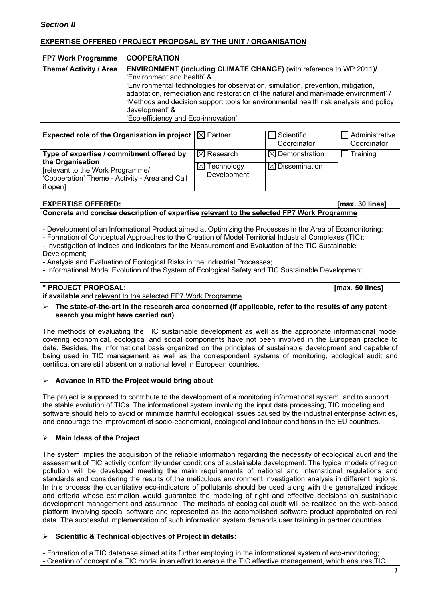# **EXPERTISE OFFERED / PROJECT PROPOSAL BY THE UNIT / ORGANISATION**

| Theme/ Activity / Area<br><b>ENVIRONMENT (including CLIMATE CHANGE)</b> (with reference to WP 2011)/                                                                    | <b>FP7 Work Programme</b> | <b>COOPERATION</b>                                                                                                                                                          |
|-------------------------------------------------------------------------------------------------------------------------------------------------------------------------|---------------------------|-----------------------------------------------------------------------------------------------------------------------------------------------------------------------------|
| 'Environment and health' &<br>'Environmental technologies for observation, simulation, prevention, mitigation,<br>development' &<br>'Eco-efficiency and Eco-innovation' |                           | adaptation, remediation and restoration of the natural and man-made environment' /<br>'Methods and decision support tools for environmental health risk analysis and policy |

| Expected role of the Organisation in project $ \boxtimes$ Partner                                                                                               |                                                               | Scientific<br>Coordinator                              | Administrative<br>Coordinator |
|-----------------------------------------------------------------------------------------------------------------------------------------------------------------|---------------------------------------------------------------|--------------------------------------------------------|-------------------------------|
| Type of expertise / commitment offered by<br>the Organisation<br>[relevant to the Work Programme/<br>'Cooperation' Theme - Activity - Area and Call<br>if open] | $\boxtimes$ Research<br>$\boxtimes$ Technology<br>Development | $\boxtimes$ Demonstration<br>$\boxtimes$ Dissemination | Training                      |

#### **EXPERTISE OFFERED: [max. 30 lines] Concrete and concise description of expertise relevant to the selected FP7 Work Programme**

- Development of an Informational Product aimed at Optimizing the Processes in the Area of Ecomonitoring;

- Formation of Conceptual Approaches to the Creation of Model Territorial Industrial Complexes (TIC);

- Investigation of Indices and Indicators for the Measurement and Evaluation of the TIC Sustainable
- Development;

- Analysis and Evaluation of Ecological Risks in the Industrial Processes;

- Informational Model Evolution of the System of Ecological Safety and TIC Sustainable Development.

# **\* PROJECT PROPOSAL: [max. 50 lines]**

**if available** and relevant to the selected FP7 Work Programme

 **The state-of-the-art in the research area concerned (if applicable, refer to the results of any patent search you might have carried out)** 

The methods of evaluating the TIC sustainable development as well as the appropriate informational model covering economical, ecological and social components have not been involved in the European practice to date. Besides, the informational basis organized on the principles of sustainable development and capable of being used in TIC management as well as the correspondent systems of monitoring, ecological audit and certification are still absent on a national level in European countries.

# **Advance in RTD the Project would bring about**

The project is supposed to contribute to the development of a monitoring informational system, and to support the stable evolution of TICs. The informational system involving the input data processing, TIC modeling and software should help to avoid or minimize harmful ecological issues caused by the industrial enterprise activities, and encourage the improvement of socio-economical, ecological and labour conditions in the EU countries.

# **Main Ideas of the Project**

The system implies the acquisition of the reliable information regarding the necessity of ecological audit and the assessment of TIC activity conformity under conditions of sustainable development. The typical models of region pollution will be developed meeting the main requirements of national and international regulations and standards and considering the results of the meticulous environment investigation analysis in different regions. In this process the quantitative eco-indicators of pollutants should be used along with the generalized indices and criteria whose estimation would guarantee the modeling of right and effective decisions on sustainable development management and assurance. The methods of ecological audit will be realized on the web-based platform involving special software and represented as the accomplished software product approbated on real data. The successful implementation of such information system demands user training in partner countries.

# **Scientific & Technical objectives of Project in details:**

- Formation of a TIC database aimed at its further employing in the informational system of eco-monitoring; - Creation of concept of a TIC model in an effort to enable the TIC effective management, which ensures TIC